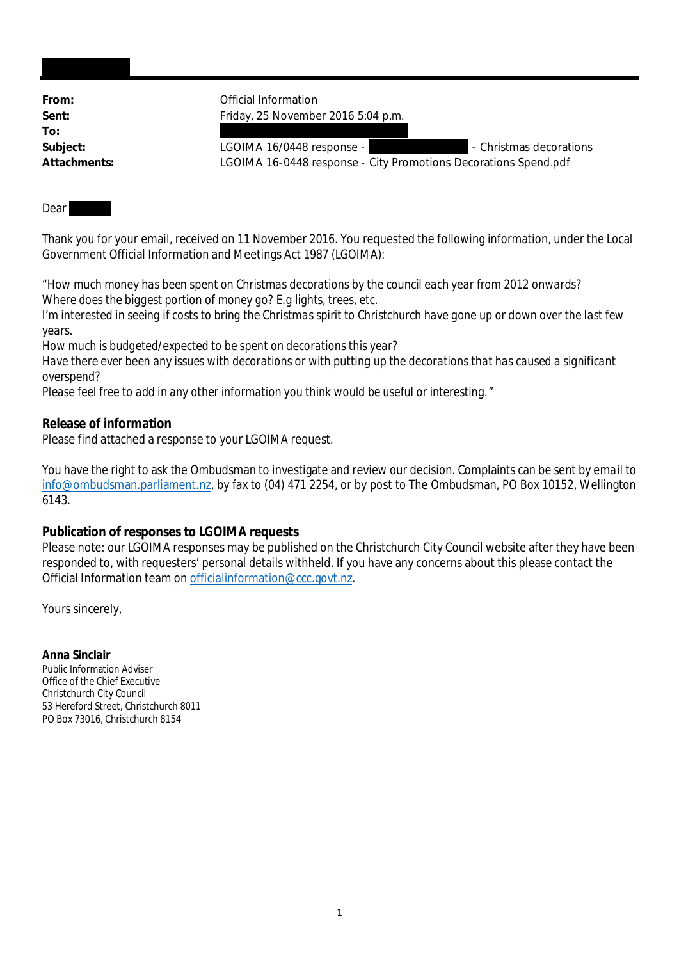From: **From:** Official Information **Sent:** Friday, 25 November 2016 5:04 p.m. **To:** Subject: LGOIMA 16/0448 response - The Christmas decorations **Attachments:** LGOIMA 16-0448 response - City Promotions Decorations Spend.pdf

## Dear

Thank you for your email, received on 11 November 2016. You requested the following information, under the Local Government Official Information and Meetings Act 1987 (LGOIMA):

"*How much money has been spent on Christmas decorations by the council each year from 2012 onwards? Where does the biggest portion of money go? E.g lights, trees, etc.*

*I'm interested in seeing if costs to bring the Christmas spirit to Christchurch have gone up or down over the last few years.*

*How much is budgeted/expected to be spent on decorations this year?*

*Have there ever been any issues with decorations or with putting up the decorations that has caused a significant overspend?*

*Please feel free to add in any other information you think would be useful or interesting.*"

**Release of information**

Please find attached a response to your LGOIMA request.

You have the right to ask the Ombudsman to investigate and review our decision. Complaints can be sent by email to info@ombudsman.parliament.nz, by fax to (04) 471 2254, or by post to The Ombudsman, PO Box 10152, Wellington 6143.

## **Publication of responses to LGOIMA requests**

Please note: our LGOIMA responses may be published on the Christchurch City Council website after they have been responded to, with requesters' personal details withheld. If you have any concerns about this please contact the Official Information team on officialinformation@ccc.govt.nz.

Yours sincerely,

**Anna Sinclair** Public Information Adviser Office of the Chief Executive Christchurch City Council 53 Hereford Street, Christchurch 8011 PO Box 73016, Christchurch 8154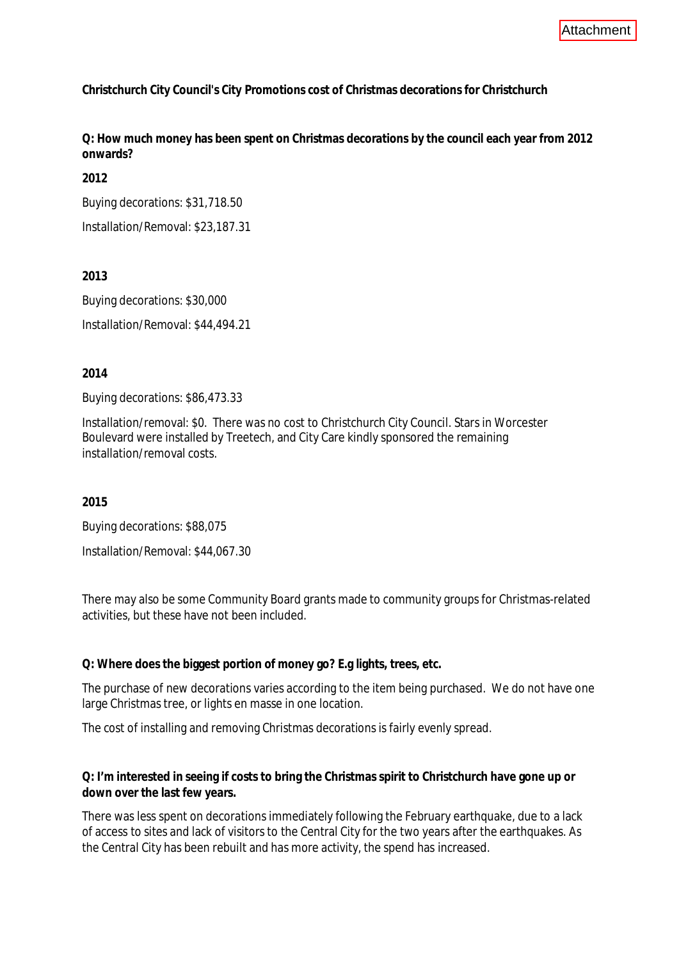**Christchurch City Council's City Promotions cost of Christmas decorations for Christchurch**

**Q: How much money has been spent on Christmas decorations by the council each year from 2012 onwards?**

**2012**

Buying decorations: \$31,718.50

Installation/Removal: \$23,187.31

**2013**

Buying decorations: \$30,000 Installation/Removal: \$44,494.21

**2014**

Buying decorations: \$86,473.33

Installation/removal: \$0. There was no cost to Christchurch City Council. Stars in Worcester Boulevard were installed by Treetech, and City Care kindly sponsored the remaining installation/removal costs.

**2015**

Buying decorations: \$88,075

Installation/Removal: \$44,067.30

There may also be some Community Board grants made to community groups for Christmas-related activities, but these have not been included.

**Q: Where does the biggest portion of money go? E.g lights, trees, etc.**

The purchase of new decorations varies according to the item being purchased. We do not have one large Christmas tree, or lights en masse in one location.

The cost of installing and removing Christmas decorations is fairly evenly spread.

**Q: I'm interested in seeing if costs to bring the Christmas spirit to Christchurch have gone up or down over the last few years.**

There was less spent on decorations immediately following the February earthquake, due to a lack of access to sites and lack of visitors to the Central City for the two years after the earthquakes. As the Central City has been rebuilt and has more activity, the spend has increased.